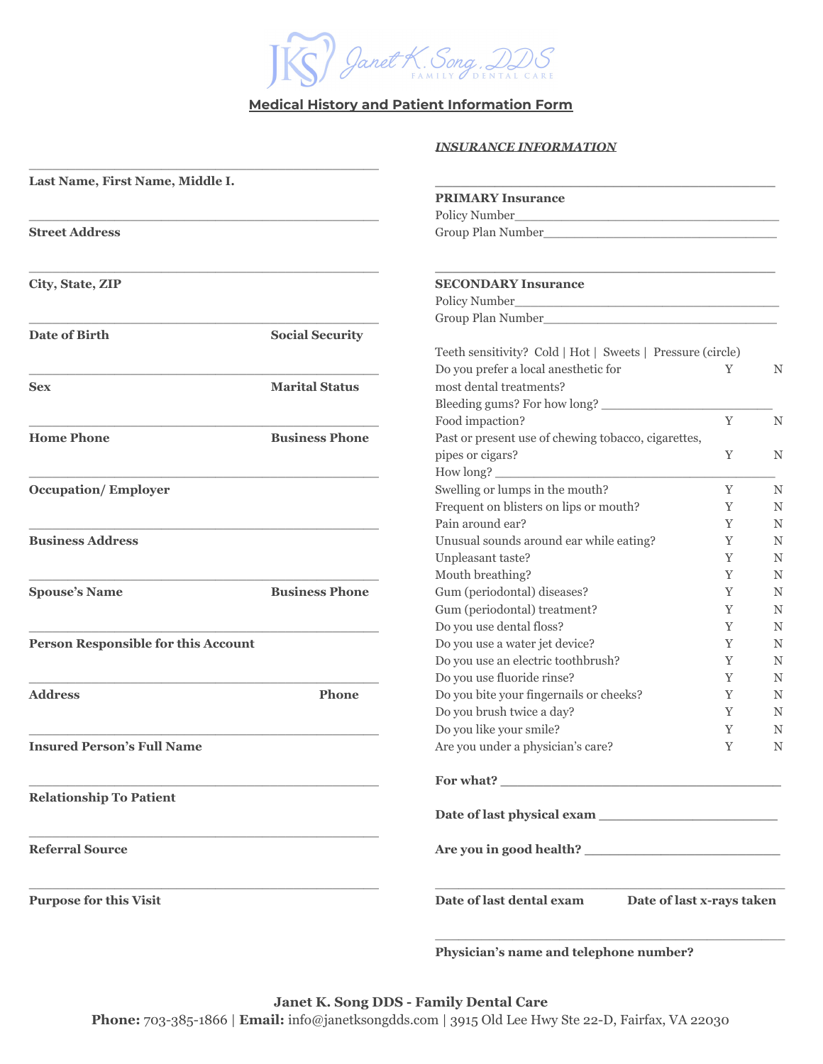

# **Medical History and Patient Information Form**

### *INSURANCE INFORMATION*

| Last Name, First Name, Middle I.           |                        |                                                            |                                                                                                                      |   |  |
|--------------------------------------------|------------------------|------------------------------------------------------------|----------------------------------------------------------------------------------------------------------------------|---|--|
|                                            |                        | <b>PRIMARY Insurance</b>                                   |                                                                                                                      |   |  |
|                                            |                        | Policy Number_                                             |                                                                                                                      |   |  |
| <b>Street Address</b>                      |                        |                                                            | <u> 1980 - Jan James James Barnett, amerikan besteht dan besteht dari di sebagai pada tahun 1980 - peristiwa dan</u> |   |  |
| City, State, ZIP                           |                        | <b>SECONDARY Insurance</b>                                 |                                                                                                                      |   |  |
|                                            |                        |                                                            |                                                                                                                      |   |  |
|                                            |                        |                                                            |                                                                                                                      |   |  |
| <b>Date of Birth</b>                       | <b>Social Security</b> |                                                            |                                                                                                                      |   |  |
|                                            |                        | Teeth sensitivity? Cold   Hot   Sweets   Pressure (circle) |                                                                                                                      |   |  |
|                                            |                        | Do you prefer a local anesthetic for                       | Y                                                                                                                    | N |  |
| <b>Sex</b>                                 | <b>Marital Status</b>  | most dental treatments?                                    |                                                                                                                      |   |  |
|                                            |                        | Bleeding gums? For how long?                               |                                                                                                                      |   |  |
|                                            |                        | Food impaction?                                            | $\mathbf Y$                                                                                                          | N |  |
| <b>Home Phone</b>                          | <b>Business Phone</b>  | Past or present use of chewing tobacco, cigarettes,        |                                                                                                                      |   |  |
|                                            |                        | pipes or cigars?                                           | Y                                                                                                                    | N |  |
|                                            |                        | How long?                                                  |                                                                                                                      |   |  |
| <b>Occupation/Employer</b>                 |                        | Swelling or lumps in the mouth?                            | Y                                                                                                                    | N |  |
|                                            |                        | Frequent on blisters on lips or mouth?                     | Y                                                                                                                    | N |  |
|                                            |                        | Pain around ear?                                           | Y                                                                                                                    | N |  |
| <b>Business Address</b>                    |                        | Unusual sounds around ear while eating?                    | Y                                                                                                                    | N |  |
|                                            |                        | Unpleasant taste?                                          | Y                                                                                                                    | N |  |
|                                            |                        | Mouth breathing?                                           | Y                                                                                                                    | N |  |
| <b>Spouse's Name</b>                       | <b>Business Phone</b>  | Gum (periodontal) diseases?                                | Y                                                                                                                    | N |  |
|                                            |                        | Gum (periodontal) treatment?                               | Y                                                                                                                    | N |  |
|                                            |                        | Do you use dental floss?                                   | Y                                                                                                                    | N |  |
| <b>Person Responsible for this Account</b> |                        | Do you use a water jet device?                             | Y                                                                                                                    | N |  |
|                                            |                        | Do you use an electric toothbrush?                         | Y                                                                                                                    | N |  |
|                                            |                        | Do you use fluoride rinse?                                 | Y                                                                                                                    | N |  |
| <b>Address</b>                             | <b>Phone</b>           | Do you bite your fingernails or cheeks?                    | Y                                                                                                                    | N |  |
|                                            |                        | Do you brush twice a day?                                  | Y                                                                                                                    | N |  |
|                                            |                        | Do you like your smile?                                    | Y                                                                                                                    | N |  |
| <b>Insured Person's Full Name</b>          |                        | Are you under a physician's care?                          | Y                                                                                                                    | N |  |
|                                            |                        |                                                            |                                                                                                                      |   |  |
| <b>Relationship To Patient</b>             |                        |                                                            |                                                                                                                      |   |  |
| <b>Referral Source</b>                     |                        |                                                            |                                                                                                                      |   |  |
| <b>Purpose for this Visit</b>              |                        | Date of last dental exam<br>Date of last x-rays taken      |                                                                                                                      |   |  |

**Physician's name and telephone number?**